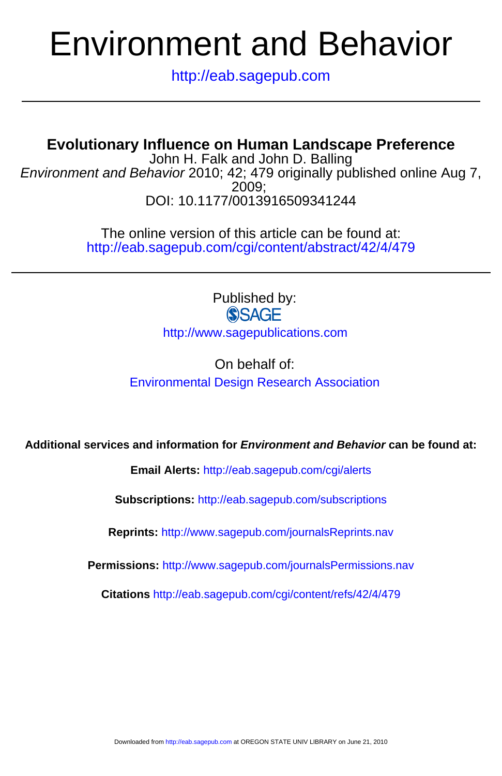# Environment and Behavior

http://eab.sagepub.com

DOI: 10.1177/0013916509341244 2009; Environment and Behavior 2010; 42; 479 originally published online Aug 7, John H. Falk and John D. Balling **Evolutionary Influence on Human Landscape Preference**

> http://eab.sagepub.com/cgi/content/abstract/42/4/479 The online version of this article can be found at:

> > Published by: **SSAGE** http://www.sagepublications.com

On behalf of: [Environmental Design Research Association](http://www.edra.org/)

**Additional services and information for Environment and Behavior can be found at:**

**Email Alerts:** <http://eab.sagepub.com/cgi/alerts>

**Subscriptions:** <http://eab.sagepub.com/subscriptions>

**Reprints:** <http://www.sagepub.com/journalsReprints.nav>

**Permissions:** <http://www.sagepub.com/journalsPermissions.nav>

**Citations** <http://eab.sagepub.com/cgi/content/refs/42/4/479>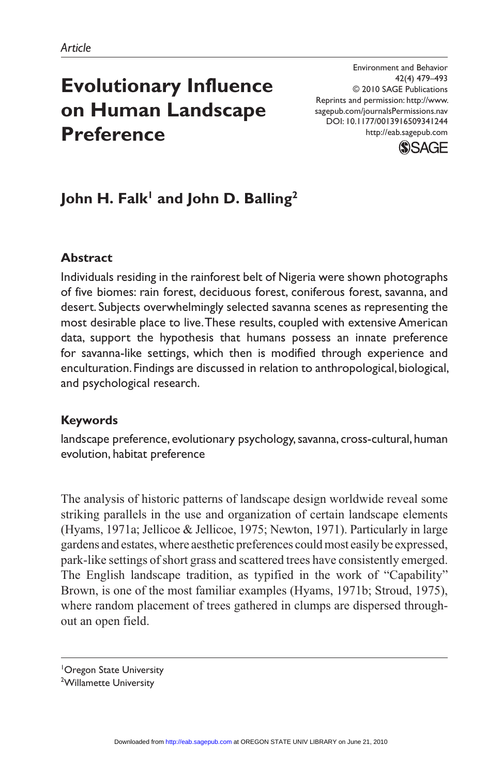# **Evolutionary Influence on Human Landscape Preference**

Environment and Behavior 42(4) 479–493 © 2010 SAGE Publications Reprints and permission: http://www. sagepub.com/journalsPermissions.nav DOI: 10.1177/0013916509341244 http://eab.sagepub.com



# John H. Falk<sup>I</sup> and John D. Balling<sup>2</sup>

## **Abstract**

Individuals residing in the rainforest belt of Nigeria were shown photographs of five biomes: rain forest, deciduous forest, coniferous forest, savanna, and desert. Subjects overwhelmingly selected savanna scenes as representing the most desirable place to live. These results, coupled with extensive American data, support the hypothesis that humans possess an innate preference for savanna-like settings, which then is modified through experience and enculturation. Findings are discussed in relation to anthropological, biological, and psychological research.

## **Keywords**

landscape preference, evolutionary psychology, savanna, cross-cultural, human evolution, habitat preference

The analysis of historic patterns of landscape design worldwide reveal some striking parallels in the use and organization of certain landscape elements (Hyams, 1971a; Jellicoe & Jellicoe, 1975; Newton, 1971). Particularly in large gardens and estates, where aesthetic preferences could most easily be expressed, park-like settings of short grass and scattered trees have consistently emerged. The English landscape tradition, as typified in the work of "Capability" Brown, is one of the most familiar examples (Hyams, 1971b; Stroud, 1975), where random placement of trees gathered in clumps are dispersed throughout an open field.

<sup>&</sup>lt;sup>1</sup>Oregon State University <sup>2</sup>Willamette University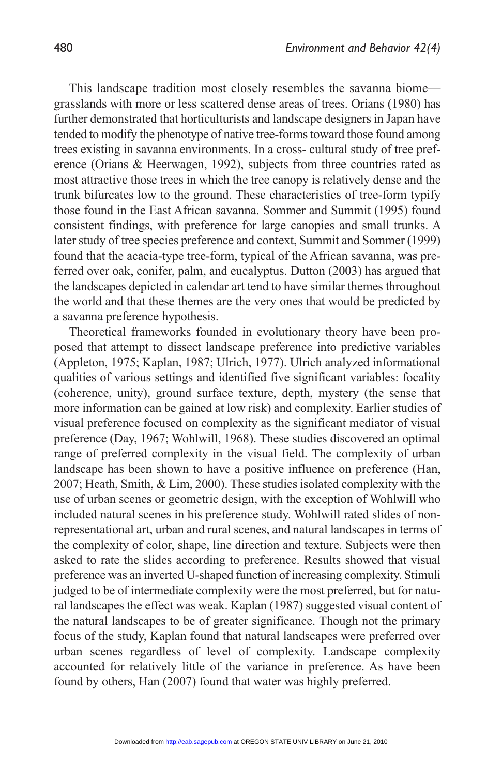This landscape tradition most closely resembles the savanna biome grasslands with more or less scattered dense areas of trees. Orians (1980) has further demonstrated that horticulturists and landscape designers in Japan have tended to modify the phenotype of native tree-forms toward those found among trees existing in savanna environments. In a cross- cultural study of tree preference (Orians & Heerwagen, 1992), subjects from three countries rated as most attractive those trees in which the tree canopy is relatively dense and the trunk bifurcates low to the ground. These characteristics of tree-form typify those found in the East African savanna. Sommer and Summit (1995) found consistent findings, with preference for large canopies and small trunks. A later study of tree species preference and context, Summit and Sommer (1999) found that the acacia-type tree-form, typical of the African savanna, was preferred over oak, conifer, palm, and eucalyptus. Dutton (2003) has argued that the landscapes depicted in calendar art tend to have similar themes throughout the world and that these themes are the very ones that would be predicted by a savanna preference hypothesis.

Theoretical frameworks founded in evolutionary theory have been proposed that attempt to dissect landscape preference into predictive variables (Appleton, 1975; Kaplan, 1987; Ulrich, 1977). Ulrich analyzed informational qualities of various settings and identified five significant variables: focality (coherence, unity), ground surface texture, depth, mystery (the sense that more information can be gained at low risk) and complexity. Earlier studies of visual preference focused on complexity as the significant mediator of visual preference (Day, 1967; Wohlwill, 1968). These studies discovered an optimal range of preferred complexity in the visual field. The complexity of urban landscape has been shown to have a positive influence on preference (Han, 2007; Heath, Smith, & Lim, 2000). These studies isolated complexity with the use of urban scenes or geometric design, with the exception of Wohlwill who included natural scenes in his preference study. Wohlwill rated slides of nonrepresentational art, urban and rural scenes, and natural landscapes in terms of the complexity of color, shape, line direction and texture. Subjects were then asked to rate the slides according to preference. Results showed that visual preference was an inverted U-shaped function of increasing complexity. Stimuli judged to be of intermediate complexity were the most preferred, but for natural landscapes the effect was weak. Kaplan (1987) suggested visual content of the natural landscapes to be of greater significance. Though not the primary focus of the study, Kaplan found that natural landscapes were preferred over urban scenes regardless of level of complexity. Landscape complexity accounted for relatively little of the variance in preference. As have been found by others, Han (2007) found that water was highly preferred.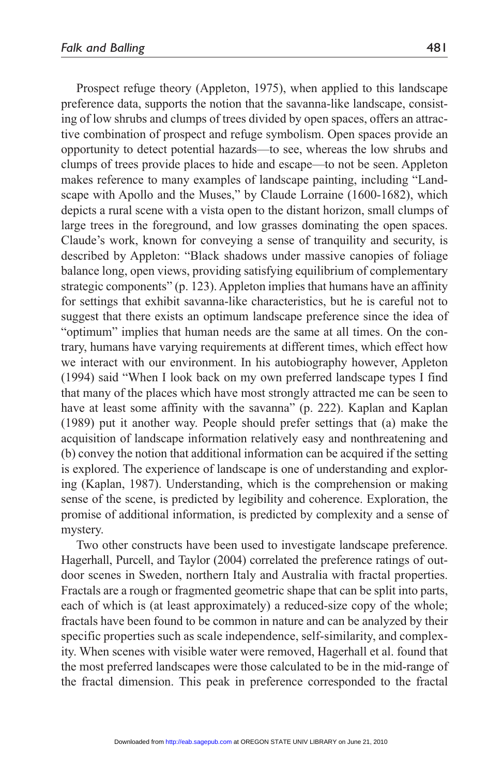Prospect refuge theory (Appleton, 1975), when applied to this landscape preference data, supports the notion that the savanna-like landscape, consisting of low shrubs and clumps of trees divided by open spaces, offers an attractive combination of prospect and refuge symbolism. Open spaces provide an opportunity to detect potential hazards—to see, whereas the low shrubs and clumps of trees provide places to hide and escape—to not be seen. Appleton makes reference to many examples of landscape painting, including "Landscape with Apollo and the Muses," by Claude Lorraine (1600-1682), which depicts a rural scene with a vista open to the distant horizon, small clumps of large trees in the foreground, and low grasses dominating the open spaces. Claude's work, known for conveying a sense of tranquility and security, is described by Appleton: "Black shadows under massive canopies of foliage balance long, open views, providing satisfying equilibrium of complementary strategic components" (p. 123). Appleton implies that humans have an affinity for settings that exhibit savanna-like characteristics, but he is careful not to suggest that there exists an optimum landscape preference since the idea of "optimum" implies that human needs are the same at all times. On the contrary, humans have varying requirements at different times, which effect how we interact with our environment. In his autobiography however, Appleton (1994) said "When I look back on my own preferred landscape types I find that many of the places which have most strongly attracted me can be seen to have at least some affinity with the savanna" (p. 222). Kaplan and Kaplan (1989) put it another way. People should prefer settings that (a) make the acquisition of landscape information relatively easy and nonthreatening and (b) convey the notion that additional information can be acquired if the setting is explored. The experience of landscape is one of understanding and exploring (Kaplan, 1987). Understanding, which is the comprehension or making sense of the scene, is predicted by legibility and coherence. Exploration, the promise of additional information, is predicted by complexity and a sense of mystery.

Two other constructs have been used to investigate landscape preference. Hagerhall, Purcell, and Taylor (2004) correlated the preference ratings of outdoor scenes in Sweden, northern Italy and Australia with fractal properties. Fractals are a rough or fragmented geometric shape that can be split into parts, each of which is (at least approximately) a reduced-size copy of the whole; fractals have been found to be common in nature and can be analyzed by their specific properties such as scale independence, self-similarity, and complexity. When scenes with visible water were removed, Hagerhall et al. found that the most preferred landscapes were those calculated to be in the mid-range of the fractal dimension. This peak in preference corresponded to the fractal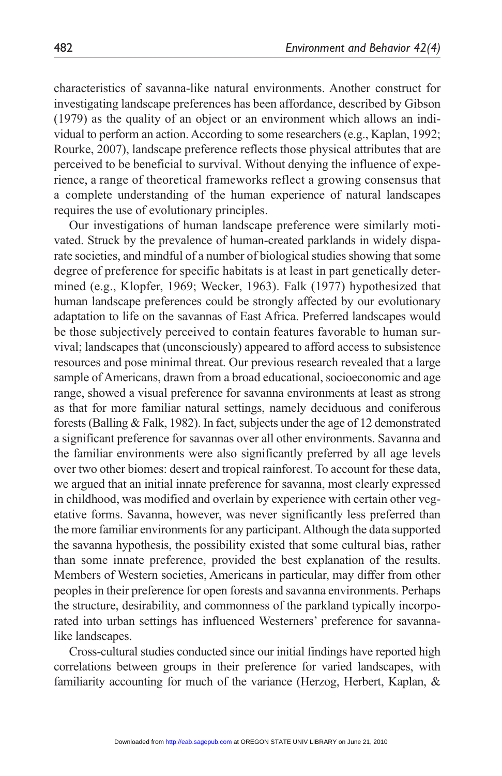characteristics of savanna-like natural environments. Another construct for investigating landscape preferences has been affordance, described by Gibson (1979) as the quality of an object or an environment which allows an individual to perform an action. According to some researchers (e.g., Kaplan, 1992; Rourke, 2007), landscape preference reflects those physical attributes that are perceived to be beneficial to survival. Without denying the influence of experience, a range of theoretical frameworks reflect a growing consensus that a complete understanding of the human experience of natural landscapes requires the use of evolutionary principles.

Our investigations of human landscape preference were similarly motivated. Struck by the prevalence of human-created parklands in widely disparate societies, and mindful of a number of biological studies showing that some degree of preference for specific habitats is at least in part genetically determined (e.g., Klopfer, 1969; Wecker, 1963). Falk (1977) hypothesized that human landscape preferences could be strongly affected by our evolutionary adaptation to life on the savannas of East Africa. Preferred landscapes would be those subjectively perceived to contain features favorable to human survival; landscapes that (unconsciously) appeared to afford access to subsistence resources and pose minimal threat. Our previous research revealed that a large sample of Americans, drawn from a broad educational, socioeconomic and age range, showed a visual preference for savanna environments at least as strong as that for more familiar natural settings, namely deciduous and coniferous forests (Balling & Falk, 1982). In fact, subjects under the age of 12 demonstrated a significant preference for savannas over all other environments. Savanna and the familiar environments were also significantly preferred by all age levels over two other biomes: desert and tropical rainforest. To account for these data, we argued that an initial innate preference for savanna, most clearly expressed in childhood, was modified and overlain by experience with certain other vegetative forms. Savanna, however, was never significantly less preferred than the more familiar environments for any participant. Although the data supported the savanna hypothesis, the possibility existed that some cultural bias, rather than some innate preference, provided the best explanation of the results. Members of Western societies, Americans in particular, may differ from other peoples in their preference for open forests and savanna environments. Perhaps the structure, desirability, and commonness of the parkland typically incorporated into urban settings has influenced Westerners' preference for savannalike landscapes.

Cross-cultural studies conducted since our initial findings have reported high correlations between groups in their preference for varied landscapes, with familiarity accounting for much of the variance (Herzog, Herbert, Kaplan, &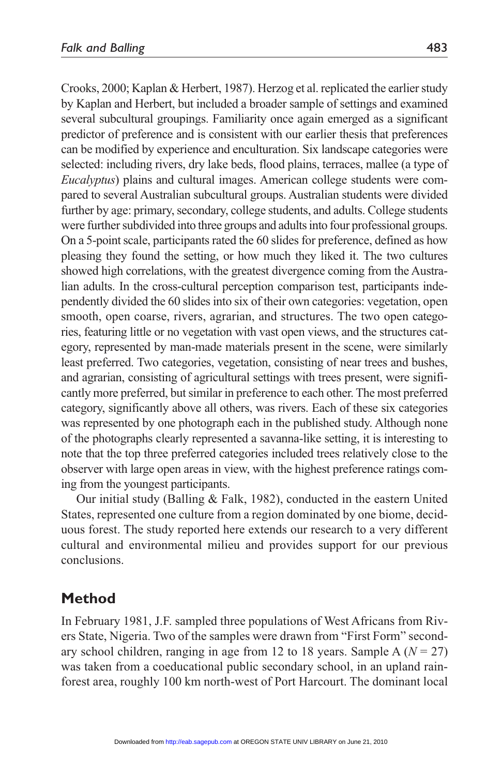Crooks, 2000; Kaplan & Herbert, 1987). Herzog et al. replicated the earlier study by Kaplan and Herbert, but included a broader sample of settings and examined several subcultural groupings. Familiarity once again emerged as a significant predictor of preference and is consistent with our earlier thesis that preferences can be modified by experience and enculturation. Six landscape categories were selected: including rivers, dry lake beds, flood plains, terraces, mallee (a type of *Eucalyptus*) plains and cultural images. American college students were compared to several Australian subcultural groups. Australian students were divided further by age: primary, secondary, college students, and adults. College students were further subdivided into three groups and adults into four professional groups. On a 5-point scale, participants rated the 60 slides for preference, defined as how pleasing they found the setting, or how much they liked it. The two cultures showed high correlations, with the greatest divergence coming from the Australian adults. In the cross-cultural perception comparison test, participants independently divided the 60 slides into six of their own categories: vegetation, open smooth, open coarse, rivers, agrarian, and structures. The two open categories, featuring little or no vegetation with vast open views, and the structures category, represented by man-made materials present in the scene, were similarly least preferred. Two categories, vegetation, consisting of near trees and bushes, and agrarian, consisting of agricultural settings with trees present, were significantly more preferred, but similar in preference to each other. The most preferred category, significantly above all others, was rivers. Each of these six categories was represented by one photograph each in the published study. Although none of the photographs clearly represented a savanna-like setting, it is interesting to note that the top three preferred categories included trees relatively close to the observer with large open areas in view, with the highest preference ratings coming from the youngest participants.

Our initial study (Balling & Falk, 1982), conducted in the eastern United States, represented one culture from a region dominated by one biome, deciduous forest. The study reported here extends our research to a very different cultural and environmental milieu and provides support for our previous conclusions.

# **Method**

In February 1981, J.F. sampled three populations of West Africans from Rivers State, Nigeria. Two of the samples were drawn from "First Form" secondary school children, ranging in age from 12 to 18 years. Sample A (*N* = 27) was taken from a coeducational public secondary school, in an upland rainforest area, roughly 100 km north-west of Port Harcourt. The dominant local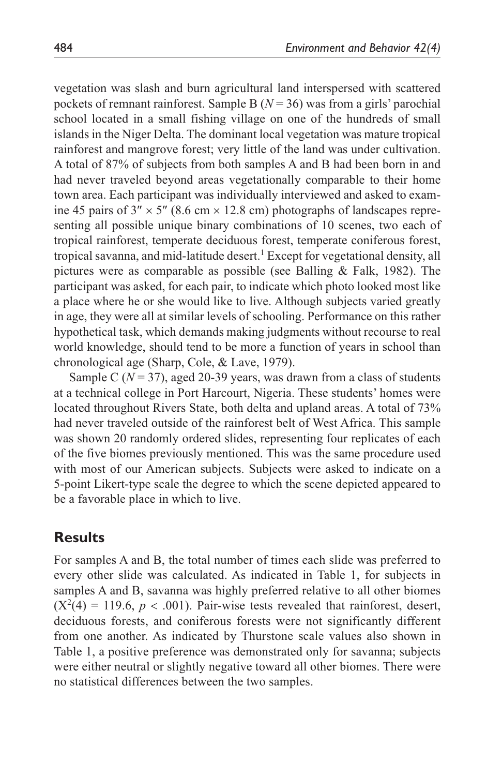vegetation was slash and burn agricultural land interspersed with scattered pockets of remnant rainforest. Sample B  $(N = 36)$  was from a girls' parochial school located in a small fishing village on one of the hundreds of small islands in the Niger Delta. The dominant local vegetation was mature tropical rainforest and mangrove forest; very little of the land was under cultivation. A total of 87% of subjects from both samples A and B had been born in and had never traveled beyond areas vegetationally comparable to their home town area. Each participant was individually interviewed and asked to examine 45 pairs of  $3'' \times 5''$  (8.6 cm  $\times$  12.8 cm) photographs of landscapes representing all possible unique binary combinations of 10 scenes, two each of tropical rainforest, temperate deciduous forest, temperate coniferous forest, tropical savanna, and mid-latitude desert.<sup>1</sup> Except for vegetational density, all pictures were as comparable as possible (see Balling & Falk, 1982). The participant was asked, for each pair, to indicate which photo looked most like a place where he or she would like to live. Although subjects varied greatly in age, they were all at similar levels of schooling. Performance on this rather hypothetical task, which demands making judgments without recourse to real world knowledge, should tend to be more a function of years in school than chronological age (Sharp, Cole, & Lave, 1979).

Sample C  $(N = 37)$ , aged 20-39 years, was drawn from a class of students at a technical college in Port Harcourt, Nigeria. These students' homes were located throughout Rivers State, both delta and upland areas. A total of 73% had never traveled outside of the rainforest belt of West Africa. This sample was shown 20 randomly ordered slides, representing four replicates of each of the five biomes previously mentioned. This was the same procedure used with most of our American subjects. Subjects were asked to indicate on a 5-point Likert-type scale the degree to which the scene depicted appeared to be a favorable place in which to live.

# **Results**

For samples A and B, the total number of times each slide was preferred to every other slide was calculated. As indicated in Table 1, for subjects in samples A and B, savanna was highly preferred relative to all other biomes  $(X<sup>2</sup>(4) = 119.6, p < .001)$ . Pair-wise tests revealed that rainforest, desert, deciduous forests, and coniferous forests were not significantly different from one another. As indicated by Thurstone scale values also shown in Table 1, a positive preference was demonstrated only for savanna; subjects were either neutral or slightly negative toward all other biomes. There were no statistical differences between the two samples.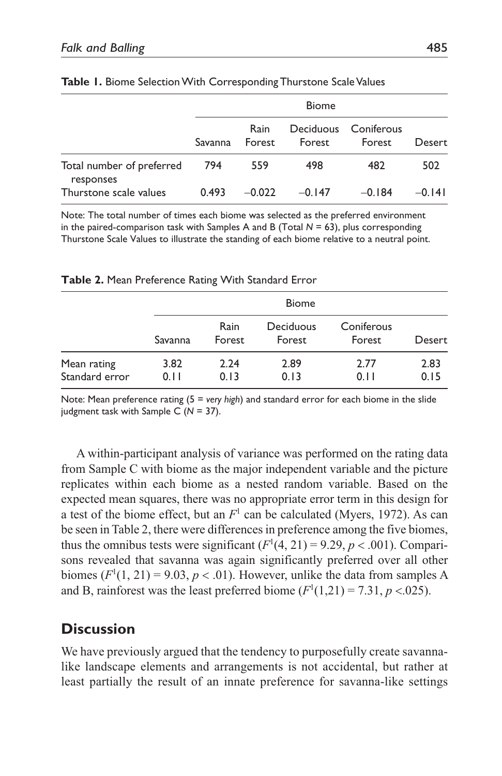|                                        | <b>Biome</b> |                |          |                                |          |  |
|----------------------------------------|--------------|----------------|----------|--------------------------------|----------|--|
|                                        | Savanna      | Rain<br>Forest | Forest   | Deciduous Coniferous<br>Forest | Desert   |  |
| Total number of preferred<br>responses | 794          | 559            | 498      | 482                            | 502      |  |
| Thurstone scale values                 | 0.493        | $-0.022$       | $-0.147$ | $-0.184$                       | $-0.141$ |  |

**Table 1.** Biome Selection With Corresponding Thurstone Scale Values

Note: The total number of times each biome was selected as the preferred environment in the paired-comparison task with Samples A and B (Total *N* = 63), plus corresponding Thurstone Scale Values to illustrate the standing of each biome relative to a neutral point.

|  |  | Table 2. Mean Preference Rating With Standard Error |  |  |  |  |
|--|--|-----------------------------------------------------|--|--|--|--|
|--|--|-----------------------------------------------------|--|--|--|--|

|                               | <b>Biome</b> |                |                     |                      |              |  |  |  |
|-------------------------------|--------------|----------------|---------------------|----------------------|--------------|--|--|--|
|                               | Savanna      | Rain<br>Forest | Deciduous<br>Forest | Coniferous<br>Forest | Desert       |  |  |  |
| Mean rating<br>Standard error | 3.82<br>0.11 | 2.24<br>0.13   | 2.89<br>0.13        | 2.77<br>0.11         | 2.83<br>0.15 |  |  |  |

Note: Mean preference rating (5 = *very high*) and standard error for each biome in the slide judgment task with Sample C (*N* = 37).

A within-participant analysis of variance was performed on the rating data from Sample C with biome as the major independent variable and the picture replicates within each biome as a nested random variable. Based on the expected mean squares, there was no appropriate error term in this design for a test of the biome effect, but an  $F<sup>1</sup>$  can be calculated (Myers, 1972). As can be seen in Table 2, there were differences in preference among the five biomes, thus the omnibus tests were significant  $(F<sup>1</sup>(4, 21) = 9.29, p < .001)$ . Comparisons revealed that savanna was again significantly preferred over all other biomes  $(F^1(1, 21) = 9.03, p < .01)$ . However, unlike the data from samples A and B, rainforest was the least preferred biome  $(F<sup>1</sup>(1,21) = 7.31, p < .025)$ .

# **Discussion**

We have previously argued that the tendency to purposefully create savannalike landscape elements and arrangements is not accidental, but rather at least partially the result of an innate preference for savanna-like settings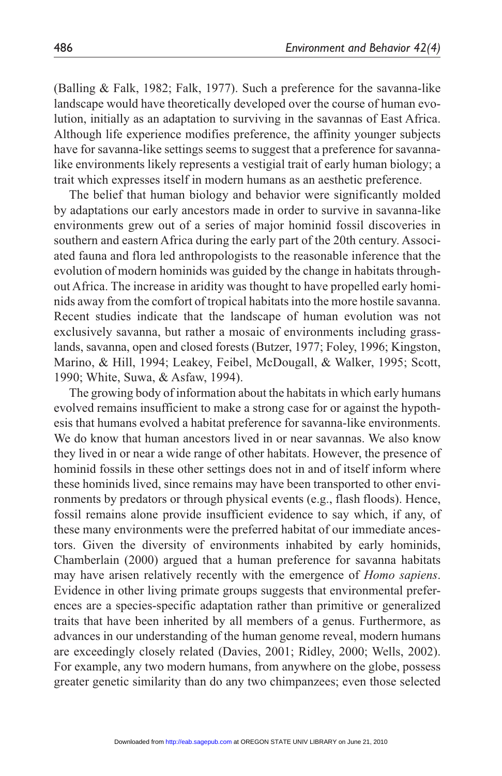(Balling & Falk, 1982; Falk, 1977). Such a preference for the savanna-like landscape would have theoretically developed over the course of human evolution, initially as an adaptation to surviving in the savannas of East Africa. Although life experience modifies preference, the affinity younger subjects have for savanna-like settings seems to suggest that a preference for savannalike environments likely represents a vestigial trait of early human biology; a trait which expresses itself in modern humans as an aesthetic preference.

The belief that human biology and behavior were significantly molded by adaptations our early ancestors made in order to survive in savanna-like environments grew out of a series of major hominid fossil discoveries in southern and eastern Africa during the early part of the 20th century. Associated fauna and flora led anthropologists to the reasonable inference that the evolution of modern hominids was guided by the change in habitats throughout Africa. The increase in aridity was thought to have propelled early hominids away from the comfort of tropical habitats into the more hostile savanna. Recent studies indicate that the landscape of human evolution was not exclusively savanna, but rather a mosaic of environments including grasslands, savanna, open and closed forests (Butzer, 1977; Foley, 1996; Kingston, Marino, & Hill, 1994; Leakey, Feibel, McDougall, & Walker, 1995; Scott, 1990; White, Suwa, & Asfaw, 1994).

The growing body of information about the habitats in which early humans evolved remains insufficient to make a strong case for or against the hypothesis that humans evolved a habitat preference for savanna-like environments. We do know that human ancestors lived in or near savannas. We also know they lived in or near a wide range of other habitats. However, the presence of hominid fossils in these other settings does not in and of itself inform where these hominids lived, since remains may have been transported to other environments by predators or through physical events (e.g., flash floods). Hence, fossil remains alone provide insufficient evidence to say which, if any, of these many environments were the preferred habitat of our immediate ancestors. Given the diversity of environments inhabited by early hominids, Chamberlain (2000) argued that a human preference for savanna habitats may have arisen relatively recently with the emergence of *Homo sapiens*. Evidence in other living primate groups suggests that environmental preferences are a species-specific adaptation rather than primitive or generalized traits that have been inherited by all members of a genus. Furthermore, as advances in our understanding of the human genome reveal, modern humans are exceedingly closely related (Davies, 2001; Ridley, 2000; Wells, 2002). For example, any two modern humans, from anywhere on the globe, possess greater genetic similarity than do any two chimpanzees; even those selected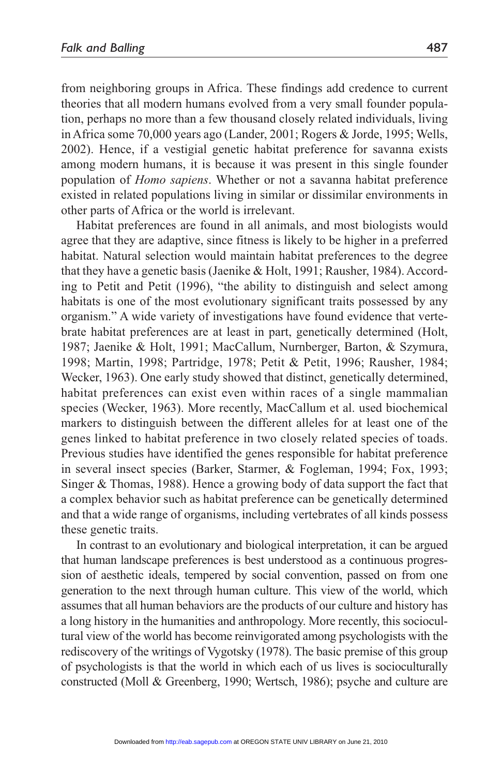from neighboring groups in Africa. These findings add credence to current theories that all modern humans evolved from a very small founder population, perhaps no more than a few thousand closely related individuals, living in Africa some 70,000 years ago (Lander, 2001; Rogers & Jorde, 1995; Wells, 2002). Hence, if a vestigial genetic habitat preference for savanna exists among modern humans, it is because it was present in this single founder population of *Homo sapiens*. Whether or not a savanna habitat preference existed in related populations living in similar or dissimilar environments in other parts of Africa or the world is irrelevant.

Habitat preferences are found in all animals, and most biologists would agree that they are adaptive, since fitness is likely to be higher in a preferred habitat. Natural selection would maintain habitat preferences to the degree that they have a genetic basis (Jaenike & Holt, 1991; Rausher, 1984). According to Petit and Petit (1996), "the ability to distinguish and select among habitats is one of the most evolutionary significant traits possessed by any organism." A wide variety of investigations have found evidence that vertebrate habitat preferences are at least in part, genetically determined (Holt, 1987; Jaenike & Holt, 1991; MacCallum, Nurnberger, Barton, & Szymura, 1998; Martin, 1998; Partridge, 1978; Petit & Petit, 1996; Rausher, 1984; Wecker, 1963). One early study showed that distinct, genetically determined, habitat preferences can exist even within races of a single mammalian species (Wecker, 1963). More recently, MacCallum et al. used biochemical markers to distinguish between the different alleles for at least one of the genes linked to habitat preference in two closely related species of toads. Previous studies have identified the genes responsible for habitat preference in several insect species (Barker, Starmer, & Fogleman, 1994; Fox, 1993; Singer & Thomas, 1988). Hence a growing body of data support the fact that a complex behavior such as habitat preference can be genetically determined and that a wide range of organisms, including vertebrates of all kinds possess these genetic traits.

In contrast to an evolutionary and biological interpretation, it can be argued that human landscape preferences is best understood as a continuous progression of aesthetic ideals, tempered by social convention, passed on from one generation to the next through human culture. This view of the world, which assumes that all human behaviors are the products of our culture and history has a long history in the humanities and anthropology. More recently, this sociocultural view of the world has become reinvigorated among psychologists with the rediscovery of the writings of Vygotsky (1978). The basic premise of this group of psychologists is that the world in which each of us lives is socioculturally constructed (Moll & Greenberg, 1990; Wertsch, 1986); psyche and culture are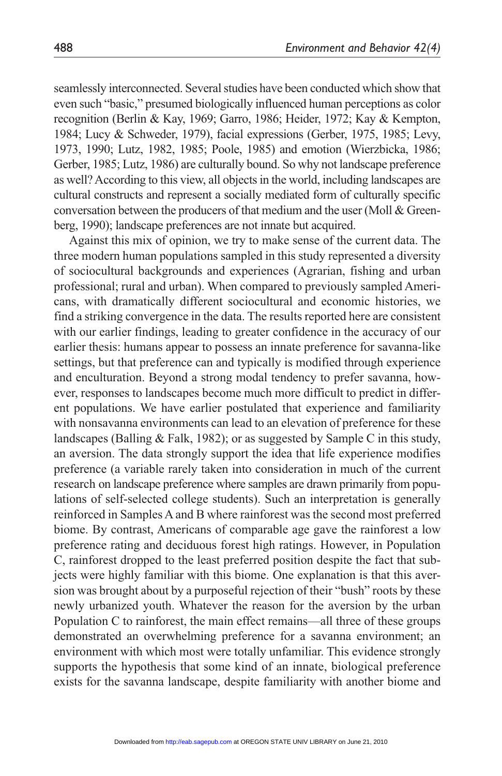seamlessly interconnected. Several studies have been conducted which show that even such "basic," presumed biologically influenced human perceptions as color recognition (Berlin & Kay, 1969; Garro, 1986; Heider, 1972; Kay & Kempton, 1984; Lucy & Schweder, 1979), facial expressions (Gerber, 1975, 1985; Levy, 1973, 1990; Lutz, 1982, 1985; Poole, 1985) and emotion (Wierzbicka, 1986; Gerber, 1985; Lutz, 1986) are culturally bound. So why not landscape preference as well? According to this view, all objects in the world, including landscapes are cultural constructs and represent a socially mediated form of culturally specific conversation between the producers of that medium and the user (Moll & Greenberg, 1990); landscape preferences are not innate but acquired.

Against this mix of opinion, we try to make sense of the current data. The three modern human populations sampled in this study represented a diversity of sociocultural backgrounds and experiences (Agrarian, fishing and urban professional; rural and urban). When compared to previously sampled Americans, with dramatically different sociocultural and economic histories, we find a striking convergence in the data. The results reported here are consistent with our earlier findings, leading to greater confidence in the accuracy of our earlier thesis: humans appear to possess an innate preference for savanna-like settings, but that preference can and typically is modified through experience and enculturation. Beyond a strong modal tendency to prefer savanna, however, responses to landscapes become much more difficult to predict in different populations. We have earlier postulated that experience and familiarity with nonsavanna environments can lead to an elevation of preference for these landscapes (Balling & Falk, 1982); or as suggested by Sample C in this study, an aversion. The data strongly support the idea that life experience modifies preference (a variable rarely taken into consideration in much of the current research on landscape preference where samples are drawn primarily from populations of self-selected college students). Such an interpretation is generally reinforced in Samples A and B where rainforest was the second most preferred biome. By contrast, Americans of comparable age gave the rainforest a low preference rating and deciduous forest high ratings. However, in Population C, rainforest dropped to the least preferred position despite the fact that subjects were highly familiar with this biome. One explanation is that this aversion was brought about by a purposeful rejection of their "bush" roots by these newly urbanized youth. Whatever the reason for the aversion by the urban Population C to rainforest, the main effect remains—all three of these groups demonstrated an overwhelming preference for a savanna environment; an environment with which most were totally unfamiliar. This evidence strongly supports the hypothesis that some kind of an innate, biological preference exists for the savanna landscape, despite familiarity with another biome and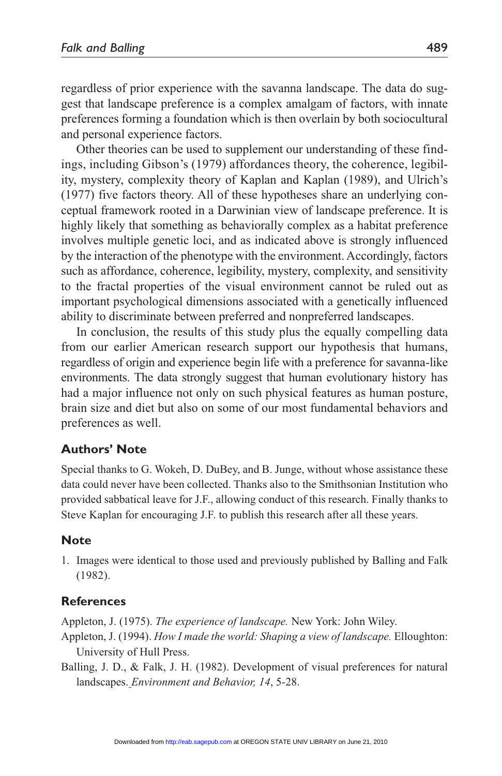regardless of prior experience with the savanna landscape. The data do suggest that landscape preference is a complex amalgam of factors, with innate preferences forming a foundation which is then overlain by both sociocultural and personal experience factors.

Other theories can be used to supplement our understanding of these findings, including Gibson's (1979) affordances theory, the coherence, legibility, mystery, complexity theory of Kaplan and Kaplan (1989), and Ulrich's (1977) five factors theory. All of these hypotheses share an underlying conceptual framework rooted in a Darwinian view of landscape preference. It is highly likely that something as behaviorally complex as a habitat preference involves multiple genetic loci, and as indicated above is strongly influenced by the interaction of the phenotype with the environment. Accordingly, factors such as affordance, coherence, legibility, mystery, complexity, and sensitivity to the fractal properties of the visual environment cannot be ruled out as important psychological dimensions associated with a genetically influenced ability to discriminate between preferred and nonpreferred landscapes.

In conclusion, the results of this study plus the equally compelling data from our earlier American research support our hypothesis that humans, regardless of origin and experience begin life with a preference for savanna-like environments. The data strongly suggest that human evolutionary history has had a major influence not only on such physical features as human posture, brain size and diet but also on some of our most fundamental behaviors and preferences as well.

#### **Authors' Note**

Special thanks to G. Wokeh, D. DuBey, and B. Junge, without whose assistance these data could never have been collected. Thanks also to the Smithsonian Institution who provided sabbatical leave for J.F., allowing conduct of this research. Finally thanks to Steve Kaplan for encouraging J.F. to publish this research after all these years.

#### **Note**

1. Images were identical to those used and previously published by Balling and Falk (1982).

#### **References**

Appleton, J. (1975). *The experience of landscape.* New York: John Wiley.

- Appleton, J. (1994). *How I made the world: Shaping a view of landscape.* Elloughton: University of Hull Press.
- Balling, J. D., & Falk, J. H. (1982). Development of visual preferences for natural landscapes. *Environment and Behavior, 14*, 5-28.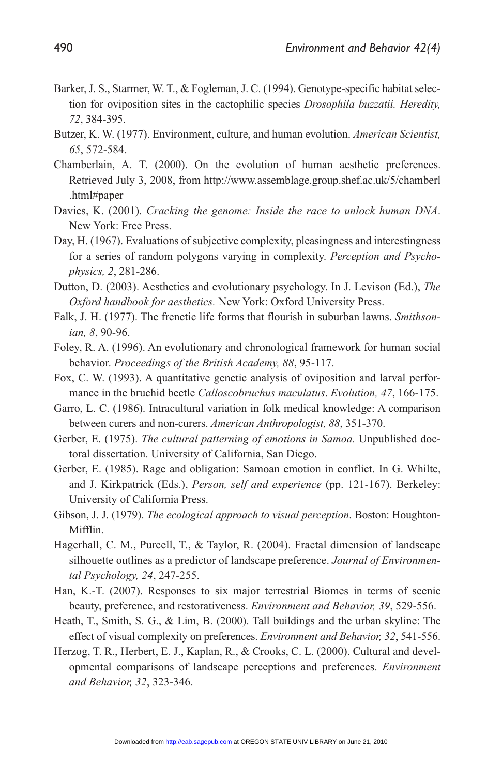- Barker, J. S., Starmer, W. T., & Fogleman, J. C. (1994). Genotype-specific habitat selection for oviposition sites in the cactophilic species *Drosophila buzzatii. Heredity, 72*, 384-395.
- Butzer, K. W. (1977). Environment, culture, and human evolution. *American Scientist, 65*, 572-584.
- Chamberlain, A. T. (2000). On the evolution of human aesthetic preferences. Retrieved July 3, 2008, from http://www.assemblage.group.shef.ac.uk/5/chamberl .html#paper
- Davies, K. (2001). *Cracking the genome: Inside the race to unlock human DNA*. New York: Free Press.
- Day, H. (1967). Evaluations of subjective complexity, pleasingness and interestingness for a series of random polygons varying in complexity. *Perception and Psychophysics, 2*, 281-286.
- Dutton, D. (2003). Aesthetics and evolutionary psychology. In J. Levison (Ed.), *The Oxford handbook for aesthetics.* New York: Oxford University Press.
- Falk, J. H. (1977). The frenetic life forms that flourish in suburban lawns. *Smithsonian, 8*, 90-96.
- Foley, R. A. (1996). An evolutionary and chronological framework for human social behavior. *Proceedings of the British Academy, 88*, 95-117.
- Fox, C. W. (1993). A quantitative genetic analysis of oviposition and larval performance in the bruchid beetle *Calloscobruchus maculatus*. *Evolution, 47*, 166-175.
- Garro, L. C. (1986). Intracultural variation in folk medical knowledge: A comparison between curers and non-curers. *American Anthropologist, 88*, 351-370.
- Gerber, E. (1975). *The cultural patterning of emotions in Samoa.* Unpublished doctoral dissertation. University of California, San Diego.
- Gerber, E. (1985). Rage and obligation: Samoan emotion in conflict. In G. Whilte, and J. Kirkpatrick (Eds.), *Person, self and experience* (pp. 121-167). Berkeley: University of California Press.
- Gibson, J. J. (1979). *The ecological approach to visual perception*. Boston: Houghton-Mifflin.
- Hagerhall, C. M., Purcell, T., & Taylor, R. (2004). Fractal dimension of landscape silhouette outlines as a predictor of landscape preference. *Journal of Environmental Psychology, 24*, 247-255.
- Han, K.-T. (2007). Responses to six major terrestrial Biomes in terms of scenic beauty, preference, and restorativeness. *Environment and Behavior, 39*, 529-556.
- Heath, T., Smith, S. G., & Lim, B. (2000). Tall buildings and the urban skyline: The effect of visual complexity on preferences. *Environment and Behavior, 32*, 541-556.
- Herzog, T. R., Herbert, E. J., Kaplan, R., & Crooks, C. L. (2000). Cultural and developmental comparisons of landscape perceptions and preferences. *Environment and Behavior, 32*, 323-346.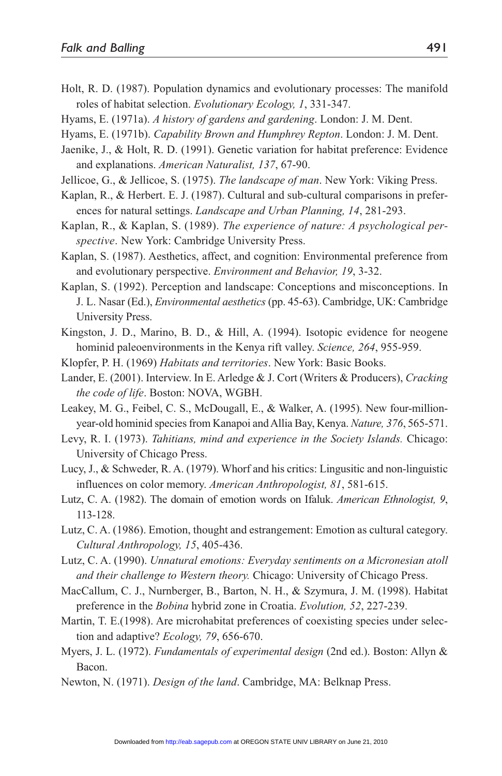- Holt, R. D. (1987). Population dynamics and evolutionary processes: The manifold roles of habitat selection. *Evolutionary Ecology, 1*, 331-347.
- Hyams, E. (1971a). *A history of gardens and gardening*. London: J. M. Dent.
- Hyams, E. (1971b). *Capability Brown and Humphrey Repton*. London: J. M. Dent.
- Jaenike, J., & Holt, R. D. (1991). Genetic variation for habitat preference: Evidence and explanations. *American Naturalist, 137*, 67-90.
- Jellicoe, G., & Jellicoe, S. (1975). *The landscape of man*. New York: Viking Press.
- Kaplan, R., & Herbert. E. J. (1987). Cultural and sub-cultural comparisons in preferences for natural settings. *Landscape and Urban Planning, 14*, 281-293.
- Kaplan, R., & Kaplan, S. (1989). *The experience of nature: A psychological perspective*. New York: Cambridge University Press.
- Kaplan, S. (1987). Aesthetics, affect, and cognition: Environmental preference from and evolutionary perspective. *Environment and Behavior, 19*, 3-32.
- Kaplan, S. (1992). Perception and landscape: Conceptions and misconceptions. In J. L. Nasar (Ed.), *Environmental aesthetics* (pp. 45-63). Cambridge, UK: Cambridge University Press.
- Kingston, J. D., Marino, B. D., & Hill, A. (1994). Isotopic evidence for neogene hominid paleoenvironments in the Kenya rift valley. *Science, 264*, 955-959.
- Klopfer, P. H. (1969) *Habitats and territories*. New York: Basic Books.
- Lander, E. (2001). Interview. In E. Arledge & J. Cort (Writers & Producers), *Cracking the code of life*. Boston: NOVA, WGBH.
- Leakey, M. G., Feibel, C. S., McDougall, E., & Walker, A. (1995). New four-millionyear-old hominid species from Kanapoi and Allia Bay, Kenya. *Nature, 376*, 565-571.
- Levy, R. I. (1973). *Tahitians, mind and experience in the Society Islands.* Chicago: University of Chicago Press.
- Lucy, J., & Schweder, R. A. (1979). Whorf and his critics: Lingusitic and non-linguistic influences on color memory. *American Anthropologist, 81*, 581-615.
- Lutz, C. A. (1982). The domain of emotion words on Ifaluk. *American Ethnologist, 9*, 113-128.
- Lutz, C. A. (1986). Emotion, thought and estrangement: Emotion as cultural category. *Cultural Anthropology, 15*, 405-436.
- Lutz, C. A. (1990). *Unnatural emotions: Everyday sentiments on a Micronesian atoll and their challenge to Western theory.* Chicago: University of Chicago Press.
- MacCallum, C. J., Nurnberger, B., Barton, N. H., & Szymura, J. M. (1998). Habitat preference in the *Bobina* hybrid zone in Croatia. *Evolution, 52*, 227-239.
- Martin, T. E.(1998). Are microhabitat preferences of coexisting species under selection and adaptive? *Ecology, 79*, 656-670.
- Myers, J. L. (1972). *Fundamentals of experimental design* (2nd ed.). Boston: Allyn & Bacon.
- Newton, N. (1971). *Design of the land*. Cambridge, MA: Belknap Press.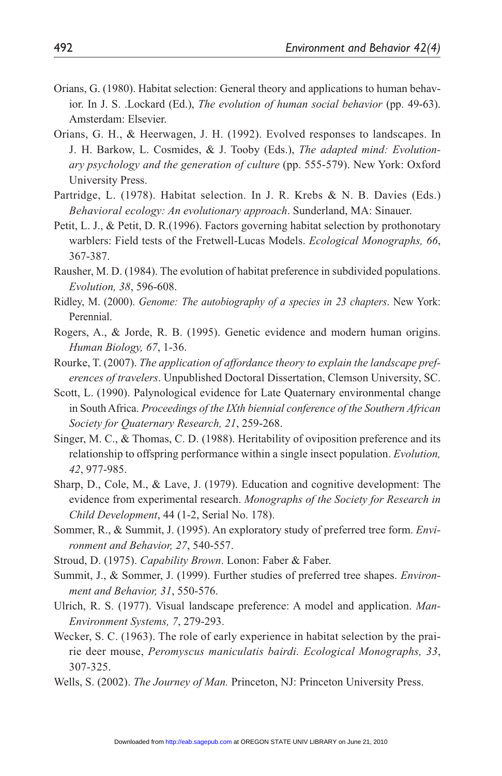- Orians, G. (1980). Habitat selection: General theory and applications to human behavior. In J. S. .Lockard (Ed.), *The evolution of human social behavior* (pp. 49-63). Amsterdam: Elsevier.
- Orians, G. H., & Heerwagen, J. H. (1992). Evolved responses to landscapes. In J. H. Barkow, L. Cosmides, & J. Tooby (Eds.), *The adapted mind: Evolutionary psychology and the generation of culture* (pp. 555-579). New York: Oxford University Press.
- Partridge, L. (1978). Habitat selection. In J. R. Krebs & N. B. Davies (Eds.) *Behavioral ecology: An evolutionary approach*. Sunderland, MA: Sinauer.
- Petit, L. J., & Petit, D. R.(1996). Factors governing habitat selection by prothonotary warblers: Field tests of the Fretwell-Lucas Models. *Ecological Monographs, 66*, 367-387.
- Rausher, M. D. (1984). The evolution of habitat preference in subdivided populations. *Evolution, 38*, 596-608.
- Ridley, M. (2000). *Genome: The autobiography of a species in 23 chapters*. New York: Perennial.
- Rogers, A., & Jorde, R. B. (1995). Genetic evidence and modern human origins. *Human Biology, 67*, 1-36.
- Rourke, T. (2007). *The application of affordance theory to explain the landscape preferences of travelers*. Unpublished Doctoral Dissertation, Clemson University, SC.
- Scott, L. (1990). Palynological evidence for Late Quaternary environmental change in South Africa. *Proceedings of the IXth biennial conference of the Southern African Society for Quaternary Research, 21*, 259-268.
- Singer, M. C., & Thomas, C. D. (1988). Heritability of oviposition preference and its relationship to offspring performance within a single insect population. *Evolution, 42*, 977-985.
- Sharp, D., Cole, M., & Lave, J. (1979). Education and cognitive development: The evidence from experimental research. *Monographs of the Society for Research in Child Development*, 44 (1-2, Serial No. 178).
- Sommer, R., & Summit, J. (1995). An exploratory study of preferred tree form. *Environment and Behavior, 27*, 540-557.
- Stroud, D. (1975). *Capability Brown*. Lonon: Faber & Faber.
- Summit, J., & Sommer, J. (1999). Further studies of preferred tree shapes. *Environment and Behavior, 31*, 550-576.
- Ulrich, R. S. (1977). Visual landscape preference: A model and application. *Man-Environment Systems, 7*, 279-293.
- Wecker, S. C. (1963). The role of early experience in habitat selection by the prairie deer mouse, *Peromyscus maniculatis bairdi. Ecological Monographs, 33*, 307-325.
- Wells, S. (2002). *The Journey of Man.* Princeton, NJ: Princeton University Press.